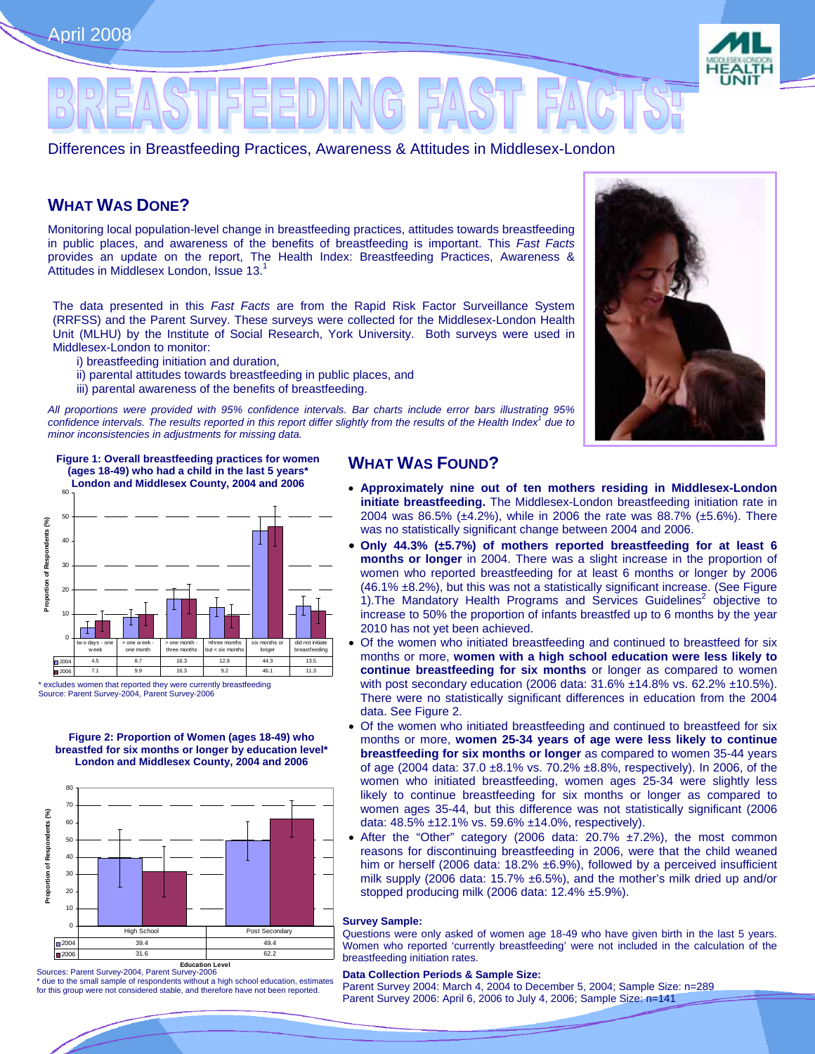

Differences in Breastfeeding Practices, Awareness & Attitudes in Middlesex-London

# **WHAT WAS DONE?**

Monitoring local population-level change in breastfeeding practices, attitudes towards breastfeeding in public places, and awareness of the benefits of breastfeeding is important. This *Fast Facts* provides an update on the report, The Health Index: Breastfeeding Practices, Awareness & Attitudes in Middlesex London, Issue 13.

The data presented in this *Fast Facts* are from the Rapid Risk Factor Surveillance System (RRFSS) and the Parent Survey. These surveys were collected for the Middlesex-London Health Unit (MLHU) by the Institute of Social Research, York University. Both surveys were used in Middlesex-London to monitor:

- i) breastfeeding initiation and duration,
- ii) parental attitudes towards breastfeeding in public places, and
- iii) parental awareness of the benefits of breastfeeding.

*All proportions were provided with 95% confidence intervals. Bar charts include error bars illustrating 95% confidence intervals. The results reported in this report differ slightly from the results of the Health Index<sup>1</sup> due to minor inconsistencies in adjustments for missing data.*



**Figure 1: Overall breastfeeding practices for women (ages 18-49) who had a child in the last 5 years\***

excludes women that reported they were currently breastfeeding Source: Parent Survey-2004, Parent Survey-2006





Sources: Parent Survey-2004, Parent Survey-2006

due to the small sample of respondents without a high school education, estimates for this group were not considered stable, and therefore have not been reported.

# **WHAT WAS FOUND?**

- **Approximately nine out of ten mothers residing in Middlesex-London initiate breastfeeding.** The Middlesex-London breastfeeding initiation rate in 2004 was 86.5% ( $\pm$ 4.2%), while in 2006 the rate was 88.7% ( $\pm$ 5.6%). There was no statistically significant change between 2004 and 2006.
- **Only 44.3% (±5.7%) of mothers reported breastfeeding for at least 6 months or longer** in 2004. There was a slight increase in the proportion of women who reported breastfeeding for at least 6 months or longer by 2006 (46.1% ±8.2%), but this was not a statistically significant increase. (See Figure 1). The Mandatory Health Programs and Services Guidelines<sup>2</sup> objective to increase to 50% the proportion of infants breastfed up to 6 months by the year 2010 has not yet been achieved.
- Of the women who initiated breastfeeding and continued to breastfeed for six months or more, **women with a high school education were less likely to continue breastfeeding for six months** or longer as compared to women with post secondary education (2006 data:  $31.6\%$  ±14.8% vs. 62.2% ±10.5%). There were no statistically significant differences in education from the 2004 data. See Figure 2.
- Of the women who initiated breastfeeding and continued to breastfeed for six months or more, **women 25-34 years of age were less likely to continue breastfeeding for six months or longer** as compared to women 35-44 years of age (2004 data: 37.0 ±8.1% vs. 70.2% ±8.8%, respectively). In 2006, of the women who initiated breastfeeding, women ages 25-34 were slightly less likely to continue breastfeeding for six months or longer as compared to women ages 35-44, but this difference was not statistically significant (2006 data: 48.5% ±12.1% vs. 59.6% ±14.0%, respectively).
- After the "Other" category (2006 data:  $20.7\% \pm 7.2\%$ ), the most common reasons for discontinuing breastfeeding in 2006, were that the child weaned him or herself (2006 data: 18.2% ±6.9%), followed by a perceived insufficient milk supply (2006 data: 15.7% ±6.5%), and the mother's milk dried up and/or stopped producing milk (2006 data: 12.4% ±5.9%).

# **Survey Sample:**

Questions were only asked of women age 18-49 who have given birth in the last 5 years. Women who reported 'currently breastfeeding' were not included in the calculation of the breastfeeding initiation rates.

# **Data Collection Periods & Sample Size:**

Parent Survey 2004: March 4, 2004 to December 5, 2004; Sample Size: n=289 Parent Survey 2006: April 6, 2006 to July 4, 2006; Sample Size: n=141